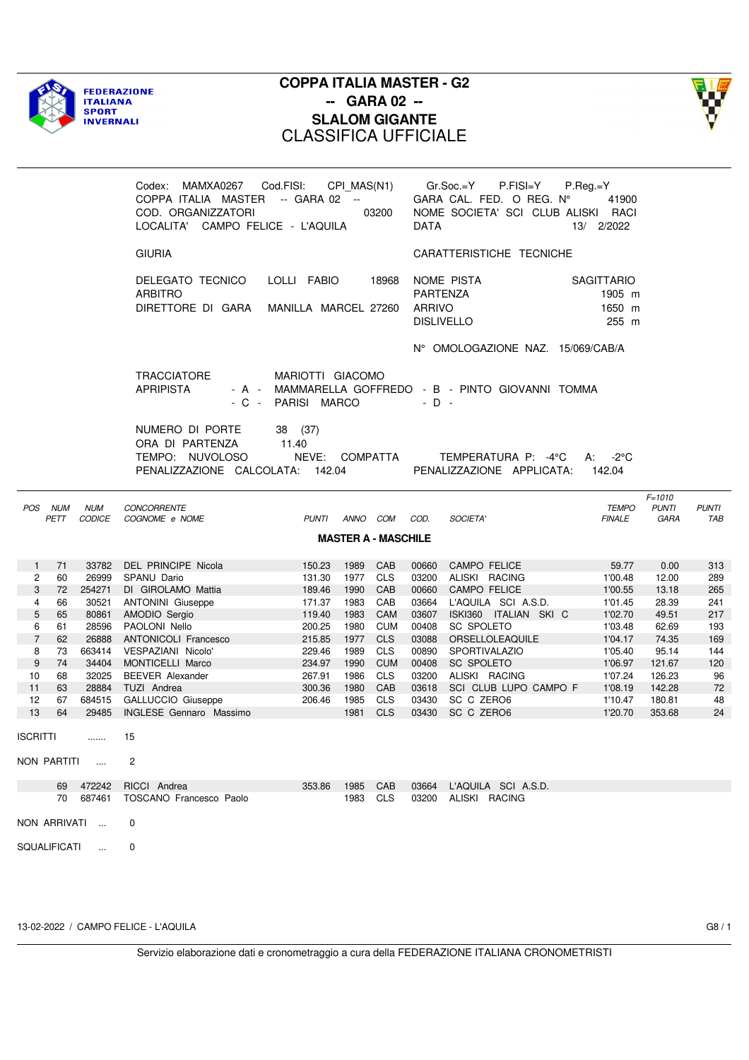



|                       |                    |                             | Codex: MAMXA0267 Cod.FISI: CPI_MAS(N1)<br>COPPA ITALIA MASTER -- GARA 02 --<br>COD. ORGANIZZATORI<br>LOCALITA' CAMPO FELICE - L'AQUILA |                                        |              | 03200                      | <b>DATA</b>               | P.FISI=Y<br>Gr.Soc.=Y<br>GARA CAL. FED. O REG. Nº<br>NOME SOCIETA' SCI CLUB ALISKI RACI | $P-Reg.=Y$<br>41900<br>13/ 2/2022              |                                    |                     |
|-----------------------|--------------------|-----------------------------|----------------------------------------------------------------------------------------------------------------------------------------|----------------------------------------|--------------|----------------------------|---------------------------|-----------------------------------------------------------------------------------------|------------------------------------------------|------------------------------------|---------------------|
|                       |                    |                             | <b>GIURIA</b>                                                                                                                          |                                        |              |                            |                           | CARATTERISTICHE TECNICHE                                                                |                                                |                                    |                     |
|                       |                    |                             | DELEGATO TECNICO<br><b>ARBITRO</b><br>DIRETTORE DI GARA MANILLA MARCEL 27260                                                           | LOLLI FABIO                            |              | 18968                      | <b>PARTENZA</b><br>ARRIVO | NOME PISTA<br><b>DISLIVELLO</b>                                                         | <b>SAGITTARIO</b><br>1905 m<br>1650 m<br>255 m |                                    |                     |
|                       |                    |                             |                                                                                                                                        |                                        |              |                            |                           | N° OMOLOGAZIONE NAZ. 15/069/CAB/A                                                       |                                                |                                    |                     |
|                       |                    |                             | TRACCIATORE<br><b>APRIPISTA</b>                                                                                                        | MARIOTTI GIACOMO<br>- C - PARISI MARCO |              |                            | $-D -$                    | - A - MAMMARELLA GOFFREDO - B - PINTO GIOVANNI TOMMA                                    |                                                |                                    |                     |
|                       |                    |                             | NUMERO DI PORTE<br>ORA DI PARTENZA<br>TEMPO: NUVOLOSO<br>PENALIZZAZIONE CALCOLATA: 142.04                                              | 38 (37)<br>11.40<br>NEVE: COMPATTA     |              |                            |                           | TEMPERATURA P: -4°C<br>PENALIZZAZIONE APPLICATA:                                        | A: $-2^{\circ}$ C<br>142.04                    |                                    |                     |
| POS                   | <b>NUM</b><br>PETT | <b>NUM</b><br><b>CODICE</b> | <b>CONCORRENTE</b><br>COGNOME e NOME                                                                                                   | PUNTI ANNO COM                         |              |                            | COD.                      | SOCIETA'                                                                                | <b>TEMPO</b><br><b>FINALE</b>                  | $F = 1010$<br><b>PUNTI</b><br>GARA | <b>PUNTI</b><br>TAB |
|                       |                    |                             |                                                                                                                                        |                                        |              | <b>MASTER A - MASCHILE</b> |                           |                                                                                         |                                                |                                    |                     |
| 1                     | 71                 | 33782                       | DEL PRINCIPE Nicola                                                                                                                    | 150.23                                 | 1989         | CAB                        | 00660                     | CAMPO FELICE                                                                            | 59.77                                          | 0.00                               | 313                 |
| $\mathbf{2}^{\prime}$ | 60                 | 26999                       | SPANU Dario                                                                                                                            | 131.30                                 | 1977         | <b>CLS</b>                 | 03200                     | ALISKI RACING                                                                           | 1'00.48                                        | 12.00                              | 289                 |
| 3                     | 72                 | 254271                      | DI GIROLAMO Mattia                                                                                                                     | 189.46                                 | 1990         | CAB                        | 00660                     | <b>CAMPO FELICE</b>                                                                     | 1'00.55                                        | 13.18                              | 265                 |
| 4                     | 66                 | 30521                       | <b>ANTONINI Giuseppe</b>                                                                                                               | 171.37                                 | 1983         | CAB                        |                           | 03664 L'AQUILA SCI A.S.D.                                                               | 1'01.45                                        | 28.39                              | 241                 |
| 5                     | 65                 | 80861                       | AMODIO Sergio                                                                                                                          | 119.40                                 | 1983         | CAM                        |                           | 03607 ISKI360 ITALIAN SKI C                                                             | 1'02.70                                        | 49.51                              | 217                 |
| 6                     | 61                 | 28596                       | PAOLONI Nello                                                                                                                          | 200.25                                 | 1980         | <b>CUM</b>                 | 00408                     | SC SPOLETO                                                                              | 1'03.48                                        | 62.69                              | 193                 |
| $\overline{7}$        | 62                 | 26888                       | <b>ANTONICOLI Francesco</b>                                                                                                            | 215.85                                 | 1977         | <b>CLS</b>                 | 03088                     | ORSELLOLEAQUILE                                                                         | 1'04.17                                        | 74.35                              | 169                 |
| 8                     | 73                 | 663414                      | VESPAZIANI Nicolo'                                                                                                                     | 229.46                                 | 1989         | <b>CLS</b>                 | 00890                     | SPORTIVALAZIO                                                                           | 1'05.40                                        | 95.14                              | 144                 |
| 9                     | 74                 | 34404                       | MONTICELLI Marco                                                                                                                       | 234.97                                 | 1990         | <b>CUM</b>                 | 00408                     | SC SPOLETO                                                                              | 1'06.97                                        | 121.67                             | 120                 |
| 10<br>11              | 68<br>63           | 32025<br>28884              | <b>BEEVER Alexander</b>                                                                                                                | 267.91<br>300.36                       | 1986<br>1980 | <b>CLS</b><br>CAB          | 03618                     | 03200 ALISKI RACING<br>SCI CLUB LUPO CAMPO F                                            | 1'07.24<br>1'08.19                             | 126.23<br>142.28                   | 96<br>72            |
| 12                    | 67                 |                             | TUZI Andrea<br>684515 GALLUCCIO Giuseppe                                                                                               | 206.46                                 | 1985         | <b>CLS</b>                 |                           | 03430 SC C ZERO6                                                                        | 1'10.47                                        | 180.81                             | 48                  |
| 13                    | 64                 |                             | 29485 INGLESE Gennaro Massimo                                                                                                          |                                        | 1981         | CLS                        |                           | 03430 SC C ZERO6                                                                        | 1'20.70                                        | 353.68                             | 24                  |
| ISCRITTI              |                    |                             | 15                                                                                                                                     |                                        |              |                            |                           |                                                                                         |                                                |                                    |                     |
|                       |                    | NON PARTITI                 | 2                                                                                                                                      |                                        |              |                            |                           |                                                                                         |                                                |                                    |                     |
|                       |                    | 69 472242                   | RICCI Andrea                                                                                                                           | 353.86                                 | 1985         | CAB                        | 03664                     | L'AQUILA SCI A.S.D.                                                                     |                                                |                                    |                     |
|                       |                    | 70 687461                   | TOSCANO Francesco Paolo                                                                                                                |                                        | 1983 CLS     |                            |                           | 03200 ALISKI RACING                                                                     |                                                |                                    |                     |
|                       |                    | NON ARRIVATI                | 0                                                                                                                                      |                                        |              |                            |                           |                                                                                         |                                                |                                    |                     |
| SQUALIFICATI          |                    | $\sim 100$                  | 0                                                                                                                                      |                                        |              |                            |                           |                                                                                         |                                                |                                    |                     |
|                       |                    |                             |                                                                                                                                        |                                        |              |                            |                           |                                                                                         |                                                |                                    |                     |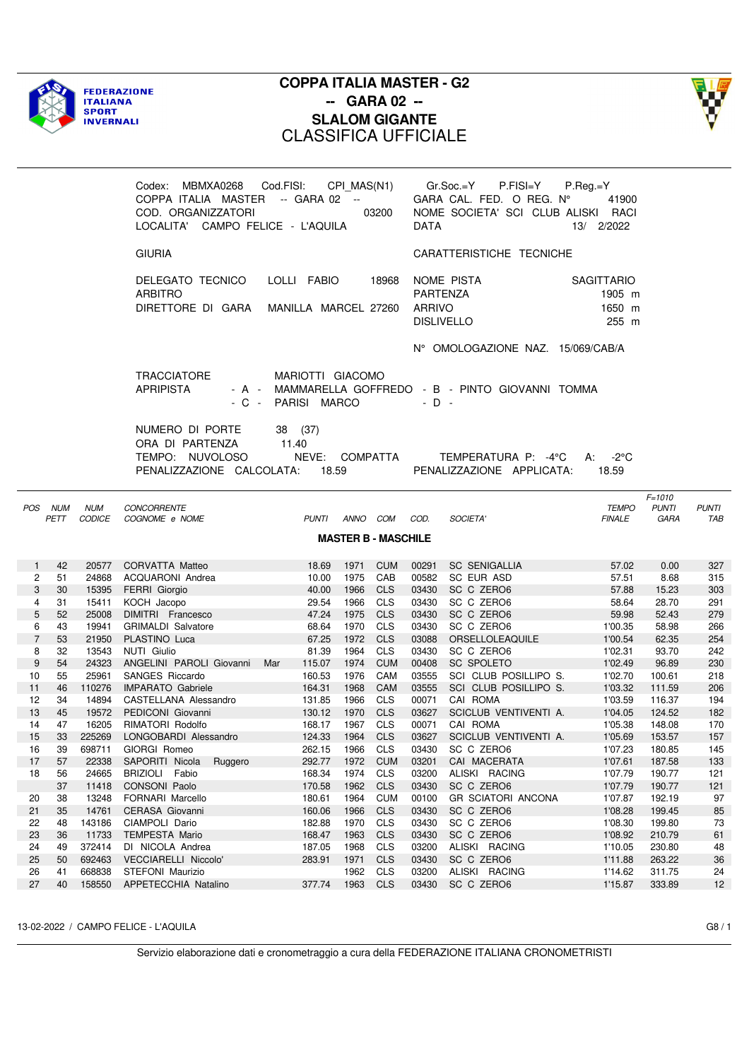



|                |                    |                             | Codex: MBMXA0268 Cod.FISI: CPI_MAS(N1)<br>COPPA ITALIA MASTER -- GARA 02 --<br>COD. ORGANIZZATORI<br>LOCALITA' CAMPO FELICE - L'AQUILA |                                             |          | 03200                      | <b>DATA</b>               | Gr.Soc.=Y<br>$P.FISI = Y$<br>GARA CAL. FED. O REG. Nº<br>NOME SOCIETA' SCI CLUB ALISKI RACI | $P_{\cdot}$ Reg.=Y<br>41900<br>13/ 2/2022      |                                    |                     |
|----------------|--------------------|-----------------------------|----------------------------------------------------------------------------------------------------------------------------------------|---------------------------------------------|----------|----------------------------|---------------------------|---------------------------------------------------------------------------------------------|------------------------------------------------|------------------------------------|---------------------|
|                |                    |                             | <b>GIURIA</b>                                                                                                                          |                                             |          |                            |                           | CARATTERISTICHE TECNICHE                                                                    |                                                |                                    |                     |
|                |                    |                             | DELEGATO TECNICO<br><b>ARBITRO</b><br>DIRETTORE DI GARA                                                                                | LOLLI FABIO<br>MANILLA MARCEL 27260         |          | 18968                      | PARTENZA<br><b>ARRIVO</b> | NOME PISTA<br><b>DISLIVELLO</b>                                                             | <b>SAGITTARIO</b><br>1905 m<br>1650 m<br>255 m |                                    |                     |
|                |                    |                             |                                                                                                                                        |                                             |          |                            |                           | N° OMOLOGAZIONE NAZ. 15/069/CAB/A                                                           |                                                |                                    |                     |
|                |                    |                             | <b>TRACCIATORE</b><br><b>APRIPISTA</b><br>$-C -$                                                                                       | MARIOTTI GIACOMO<br>PARISI MARCO            |          |                            | $-D -$                    | - A - MAMMARELLA GOFFREDO - B - PINTO GIOVANNI TOMMA                                        |                                                |                                    |                     |
|                |                    |                             | NUMERO DI PORTE<br>ORA DI PARTENZA<br>TEMPO: NUVOLOSO<br>PENALIZZAZIONE CALCOLATA:                                                     | 38 (37)<br>11.40<br>NEVE: COMPATTA<br>18.59 |          |                            |                           | TEMPERATURA P: -4°C<br>PENALIZZAZIONE APPLICATA:                                            | $A: -2^{\circ}C$<br>18.59                      |                                    |                     |
| POS            | <b>NUM</b><br>PETT | <b>NUM</b><br><b>CODICE</b> | CONCORRENTE<br>COGNOME e NOME                                                                                                          | <b>PUNTI</b>                                | ANNO COM | <b>MASTER B - MASCHILE</b> | COD.                      | SOCIETA'                                                                                    | <b>TEMPO</b><br><b>FINALE</b>                  | $F = 1010$<br><b>PUNTI</b><br>GARA | <b>PUNTI</b><br>TAB |
| $\mathbf{1}$   | 42                 | 20577                       | CORVATTA Matteo                                                                                                                        | 18.69                                       | 1971     | <b>CUM</b>                 | 00291                     | <b>SC SENIGALLIA</b>                                                                        | 57.02                                          | 0.00                               | 327                 |
| 2              | 51                 |                             | 24868 ACQUARONI Andrea                                                                                                                 | 10.00                                       | 1975 CAB |                            | 00582                     | SC EUR ASD                                                                                  | 57.51                                          | 8.68                               | 315                 |
| 3              | 30                 | 15395                       | <b>FERRI Giorgio</b>                                                                                                                   | 40.00                                       | 1966     | <b>CLS</b>                 | 03430                     | SC C ZERO6                                                                                  | 57.88                                          | 15.23                              | 303                 |
| 4              | 31                 | 15411                       | KOCH Jacopo                                                                                                                            | 29.54                                       | 1966     | <b>CLS</b>                 | 03430                     | SC C ZERO6                                                                                  | 58.64                                          | 28.70                              | 291                 |
| 5              | 52                 | 25008                       | DIMITRI Francesco                                                                                                                      | 47.24                                       | 1975     | <b>CLS</b>                 | 03430                     | SC C ZERO6                                                                                  | 59.98                                          | 52.43                              | 279                 |
| 6              | 43                 | 19941                       | <b>GRIMALDI Salvatore</b>                                                                                                              | 68.64                                       | 1970 CLS |                            | 03430                     | SC C ZERO6                                                                                  | 1'00.35                                        | 58.98                              | 266                 |
| $\overline{7}$ | 53                 | 21950                       | PLASTINO Luca                                                                                                                          | 67.25                                       | 1972 CLS |                            | 03088                     | ORSELLOLEAQUILE                                                                             | 1'00.54                                        | 62.35                              | 254                 |
| 8              | 32                 | 13543                       | NUTI Giulio                                                                                                                            | 81.39                                       | 1964     | <b>CLS</b>                 | 03430                     | SC C ZERO6                                                                                  | 1'02.31                                        | 93.70                              | 242                 |
| 9              | 54                 | 24323                       | ANGELINI PAROLI Giovanni                                                                                                               | 115.07<br>Mar                               | 1974     | <b>CUM</b>                 | 00408                     | SC SPOLETO                                                                                  | 1'02.49                                        | 96.89                              | 230                 |
| 10             | 55                 | 25961                       | SANGES Riccardo                                                                                                                        | 160.53                                      | 1976     | CAM                        | 03555                     | SCI CLUB POSILLIPO S.                                                                       | 1'02.70                                        | 100.61                             | 218                 |
| 11             | 46                 | 110276                      | <b>IMPARATO Gabriele</b>                                                                                                               | 164.31                                      | 1968     | CAM                        | 03555                     | SCI CLUB POSILLIPO S.                                                                       | 1'03.32                                        | 111.59                             | 206                 |
| 12             | 34                 | 14894                       | CASTELLANA Alessandro                                                                                                                  | 131.85                                      | 1966     | <b>CLS</b>                 | 00071                     | CAI ROMA                                                                                    | 1'03.59                                        | 116.37                             | 194                 |
| 13             | 45                 | 19572                       | PEDICONI Giovanni                                                                                                                      | 130.12                                      | 1970     | <b>CLS</b>                 | 03627                     | SCICLUB VENTIVENTI A.                                                                       | 1'04.05                                        | 124.52                             | 182                 |
| 14             | 47                 | 16205                       | RIMATORI Rodolfo                                                                                                                       | 168.17                                      | 1967     | CLS                        | 00071                     | CAI ROMA                                                                                    | 1'05.38                                        | 148.08                             | 170                 |
| 15             | 33                 | 225269                      | LONGOBARDI Alessandro                                                                                                                  | 124.33                                      | 1964     | <b>CLS</b>                 | 03627                     | SCICLUB VENTIVENTI A.                                                                       | 1'05.69                                        | 153.57                             | 157                 |
| 16             | 39                 | 698711                      | GIORGI Romeo                                                                                                                           | 262.15                                      | 1966     | CLS                        | 03430                     | SC C ZERO6                                                                                  | 1'07.23                                        | 180.85                             | 145                 |
| 17             | 57                 | 22338                       | SAPORITI Nicola<br>Ruggero                                                                                                             | 292.77                                      | 1972     | <b>CUM</b>                 | 03201                     | CAI MACERATA                                                                                | 1'07.61                                        | 187.58                             | 133                 |
| 18             | 56                 | 24665                       | BRIZIOLI Fabio                                                                                                                         | 168.34                                      | 1974     | <b>CLS</b>                 | 03200                     | ALISKI RACING                                                                               | 1'07.79                                        | 190.77                             | 121                 |
|                | 37                 | 11418                       | CONSONI Paolo                                                                                                                          | 170.58                                      | 1962     | <b>CLS</b>                 | 03430                     | SC C ZERO6                                                                                  | 1'07.79                                        | 190.77                             | 121                 |
| 20             | 38                 | 13248                       | FORNARI Marcello                                                                                                                       | 180.61                                      | 1964     | <b>CUM</b>                 | 00100                     | <b>GR SCIATORI ANCONA</b>                                                                   | 1'07.87                                        | 192.19                             | 97                  |
| 21             | 35                 | 14761                       | CERASA Giovanni                                                                                                                        | 160.06                                      | 1966     | <b>CLS</b>                 | 03430                     | SC C ZERO6                                                                                  | 1'08.28                                        | 199.45                             | 85                  |
| 22             | 48                 | 143186                      | CIAMPOLI Dario                                                                                                                         | 182.88                                      | 1970     | CLS                        | 03430                     | SC C ZERO6                                                                                  | 1'08.30                                        | 199.80                             | 73                  |
| 23             | 36                 | 11733                       | <b>TEMPESTA Mario</b>                                                                                                                  | 168.47                                      | 1963     | <b>CLS</b>                 | 03430                     | SC C ZERO6                                                                                  | 1'08.92                                        | 210.79                             | 61                  |
| 24             | 49                 | 372414                      | DI NICOLA Andrea                                                                                                                       | 187.05                                      | 1968     | <b>CLS</b>                 | 03200                     | ALISKI RACING                                                                               | 1'10.05                                        | 230.80                             | 48                  |
| 25             | 50                 | 692463                      | VECCIARELLI Niccolo'                                                                                                                   | 283.91                                      | 1971     | <b>CLS</b>                 | 03430                     | SC C ZERO6                                                                                  | 1'11.88                                        | 263.22                             | 36                  |
| 26             | 41                 | 668838                      | STEFONI Maurizio                                                                                                                       |                                             | 1962     | CLS                        | 03200                     | ALISKI RACING                                                                               | 1'14.62                                        | 311.75                             | 24                  |
| 27             | 40                 | 158550                      | APPETECCHIA Natalino                                                                                                                   | 377.74                                      | 1963     | <b>CLS</b>                 | 03430                     | SC C ZERO6                                                                                  | 1'15.87                                        | 333.89                             | 12                  |

13-02-2022 / CAMPO FELICE - L'AQUILA G8 / 1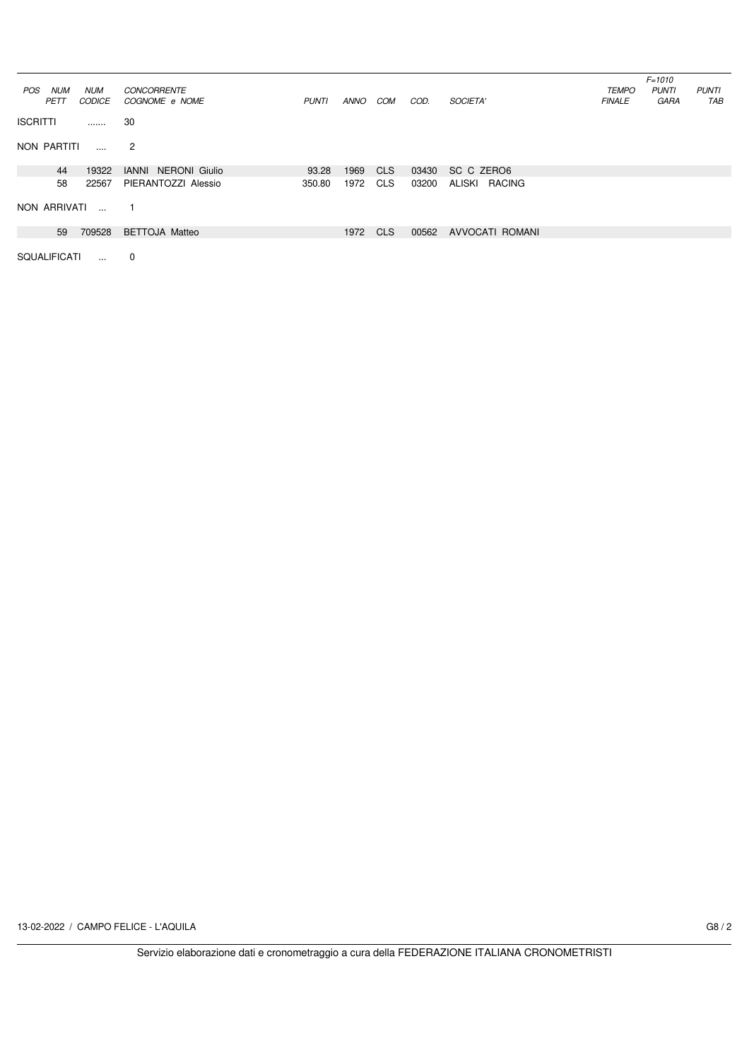|                     |               |                            |              |      |            |       |                         |               | $F = 1010$   |              |
|---------------------|---------------|----------------------------|--------------|------|------------|-------|-------------------------|---------------|--------------|--------------|
| POS<br>NUM          | <b>NUM</b>    | <b>CONCORRENTE</b>         |              |      |            |       |                         | <b>TEMPO</b>  | <b>PUNTI</b> | <b>PUNTI</b> |
| <b>PETT</b>         | <b>CODICE</b> | COGNOME e NOME             | <b>PUNTI</b> | ANNO | COM        | COD.  | SOCIETA'                | <b>FINALE</b> | GARA         | TAB          |
| <b>ISCRITTI</b>     | .             | 30                         |              |      |            |       |                         |               |              |              |
| NON PARTITI         | $\cdots$      | $\overline{2}$             |              |      |            |       |                         |               |              |              |
| 44                  | 19322         | <b>IANNI NERONI Giulio</b> | 93.28        | 1969 | <b>CLS</b> | 03430 | SC C ZERO6              |               |              |              |
| 58                  | 22567         | PIERANTOZZI Alessio        | 350.80       | 1972 | <b>CLS</b> | 03200 | ALISKI<br><b>RACING</b> |               |              |              |
| NON ARRIVATI        | $\sim$        | -1                         |              |      |            |       |                         |               |              |              |
| 59                  | 709528        | <b>BETTOJA Matteo</b>      |              | 1972 | <b>CLS</b> | 00562 | <b>AVVOCATI ROMANI</b>  |               |              |              |
| <b>SQUALIFICATI</b> | $\ddotsc$     | $\mathbf 0$                |              |      |            |       |                         |               |              |              |

13-02-2022 / CAMPO FELICE - L'AQUILA G8 / 2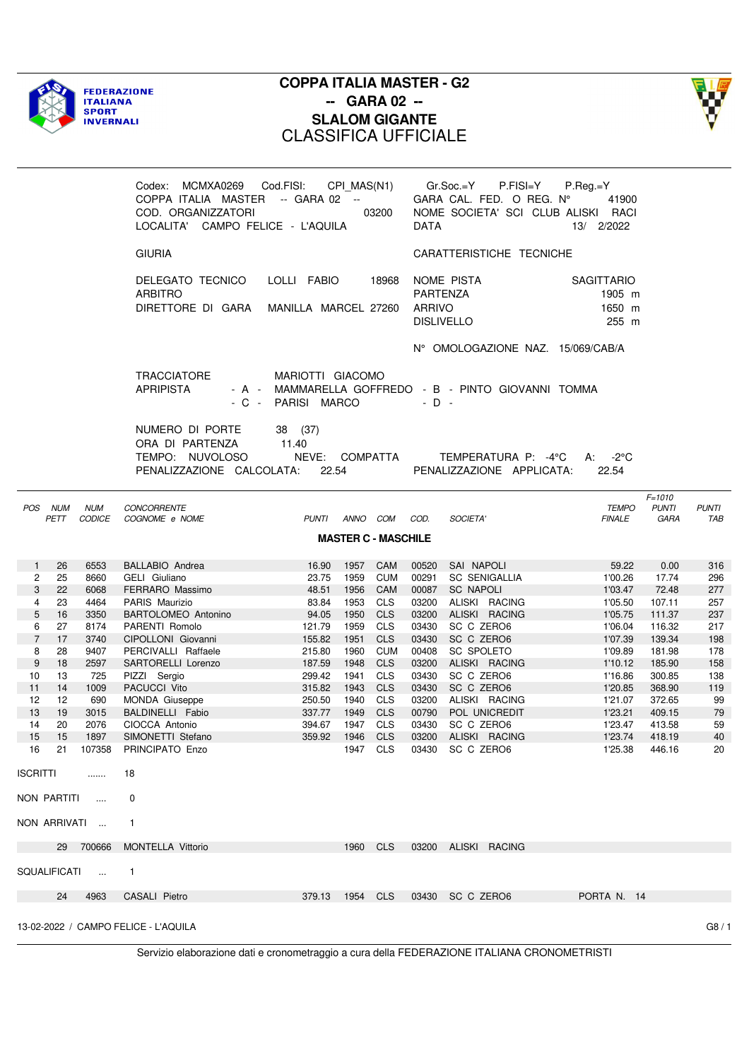



|                           |                 |                      | Codex: MCMXA0269 Cod.FISI: CPI_MAS(N1)<br>COPPA ITALIA MASTER -- GARA 02 --<br>COD. ORGANIZZATORI<br>LOCALITA' CAMPO FELICE - L'AQUILA |                                             |      | 03200                      | <b>DATA</b>               | P.FISI=Y<br>Gr.Soc.=Y<br>GARA CAL. FED. O REG. Nº<br>NOME SOCIETA' SCI CLUB ALISKI RACI | $P-Reg.=Y$<br>41900<br>13/ 2/2022              |                                           |                     |
|---------------------------|-----------------|----------------------|----------------------------------------------------------------------------------------------------------------------------------------|---------------------------------------------|------|----------------------------|---------------------------|-----------------------------------------------------------------------------------------|------------------------------------------------|-------------------------------------------|---------------------|
|                           |                 |                      | <b>GIURIA</b>                                                                                                                          |                                             |      |                            |                           | CARATTERISTICHE TECNICHE                                                                |                                                |                                           |                     |
|                           |                 |                      | DELEGATO TECNICO<br><b>ARBITRO</b><br>DIRETTORE DI GARA MANILLA MARCEL 27260                                                           | LOLLI FABIO                                 |      | 18968                      | PARTENZA<br><b>ARRIVO</b> | NOME PISTA<br><b>DISLIVELLO</b>                                                         | <b>SAGITTARIO</b><br>1905 m<br>1650 m<br>255 m |                                           |                     |
|                           |                 |                      |                                                                                                                                        |                                             |      |                            |                           | N° OMOLOGAZIONE NAZ. 15/069/CAB/A                                                       |                                                |                                           |                     |
|                           |                 |                      | <b>TRACCIATORE</b><br><b>APRIPISTA</b><br>$-C -$                                                                                       | MARIOTTI GIACOMO<br>PARISI MARCO            |      |                            | $-D -$                    | - A - MAMMARELLA GOFFREDO - B - PINTO GIOVANNI TOMMA                                    |                                                |                                           |                     |
|                           |                 |                      | NUMERO DI PORTE<br>ORA DI PARTENZA<br>TEMPO: NUVOLOSO<br>PENALIZZAZIONE CALCOLATA:                                                     | 38 (37)<br>11.40<br>NEVE: COMPATTA<br>22.54 |      |                            |                           | TEMPERATURA P: -4°C<br>PENALIZZAZIONE APPLICATA:                                        | A: $-2^{\circ}$ C<br>22.54                     |                                           |                     |
|                           | POS NUM<br>PETT | <b>NUM</b><br>CODICE | CONCORRENTE<br>COGNOME e NOME                                                                                                          | PUNTI ANNO COM COD.                         |      |                            |                           | SOCIETA'                                                                                | <b>TEMPO</b><br><b>FINALE</b>                  | $F = 1010$<br><b>PUNTI</b><br><b>GARA</b> | <b>PUNTI</b><br>TAB |
|                           |                 |                      |                                                                                                                                        |                                             |      | <b>MASTER C - MASCHILE</b> |                           |                                                                                         |                                                |                                           |                     |
|                           | 26              | 6553                 |                                                                                                                                        | 16.90                                       | 1957 | CAM                        | 00520                     | SAI NAPOLI                                                                              | 59.22                                          | 0.00                                      | 316                 |
| 1<br>$\mathbf{2}^{\circ}$ | 25              | 8660                 | <b>BALLABIO Andrea</b><br>GELI Giuliano                                                                                                | 23.75                                       | 1959 | <b>CUM</b>                 | 00291                     | <b>SC SENIGALLIA</b>                                                                    | 1'00.26                                        | 17.74                                     | 296                 |
| 3                         | 22              | 6068                 | FERRARO Massimo                                                                                                                        | 48.51                                       | 1956 | CAM                        | 00087                     | <b>SC NAPOLI</b>                                                                        | 1'03.47                                        | 72.48                                     | 277                 |
| 4                         | 23              | 4464                 | PARIS Maurizio                                                                                                                         | 83.84                                       | 1953 | <b>CLS</b>                 | 03200                     | ALISKI RACING                                                                           | 1'05.50                                        | 107.11                                    | 257                 |
| 5                         | 16              | 3350                 | <b>BARTOLOMEO Antonino</b>                                                                                                             | 94.05                                       | 1950 | <b>CLS</b>                 | 03200                     | ALISKI RACING                                                                           | 1'05.75                                        | 111.37                                    | 237                 |
| 6                         | 27              | 8174                 | PARENTI Romolo                                                                                                                         | 121.79                                      | 1959 | <b>CLS</b>                 | 03430                     | SC C ZERO6                                                                              | 1'06.04                                        | 116.32                                    | 217                 |
| $\overline{7}$            | 17              | 3740                 | CIPOLLONI Giovanni                                                                                                                     | 155.82                                      | 1951 | <b>CLS</b>                 | 03430                     | SC C ZERO6                                                                              | 1'07.39                                        | 139.34                                    | 198                 |
| 8                         | 28              | 9407                 | PERCIVALLI Raffaele                                                                                                                    | 215.80                                      | 1960 | <b>CUM</b>                 | 00408                     | SC SPOLETO                                                                              | 1'09.89                                        | 181.98                                    | 178                 |
| 9                         | 18              | 2597                 | SARTORELLI Lorenzo                                                                                                                     | 187.59                                      | 1948 | <b>CLS</b>                 | 03200                     | ALISKI RACING                                                                           | 1'10.12                                        | 185.90                                    | 158                 |
| 10                        | 13              | 725                  | PIZZI Sergio                                                                                                                           | 299.42                                      | 1941 | <b>CLS</b>                 | 03430                     | SC C ZERO6                                                                              | 1'16.86                                        | 300.85                                    | 138                 |
| 11                        | 14              | 1009                 | PACUCCI Vito                                                                                                                           | 315.82                                      | 1943 | <b>CLS</b>                 | 03430                     | SC C ZERO6                                                                              | 1'20.85                                        | 368.90                                    | 119                 |
| 12<br>13                  | 12<br>19        | 690<br>3015          | <b>MONDA Giuseppe</b><br>BALDINELLI Fabio                                                                                              | 250.50<br>337.77                            | 1940 | <b>CLS</b><br>1949 CLS     |                           | 03200 ALISKI RACING<br>POL UNICREDIT                                                    | 1'21.07<br>1'23.21                             | 372.65<br>409.15                          | 99                  |
| 14                        | 20              | 2076                 | CIOCCA Antonio                                                                                                                         | 394.67                                      |      | 1947 CLS                   | 00790<br>03430            | SC C ZERO6                                                                              | 1'23.47                                        | 413.58                                    | 79<br>59            |
|                           |                 | 15  15  1897         | SIMONETTI Stefano                                                                                                                      | 359.92 1946 CLS                             |      |                            |                           | 03200 ALISKI RACING                                                                     | 1'23.74 418.19                                 |                                           | 40                  |
|                           |                 |                      | 16 21 107358 PRINCIPATO Enzo                                                                                                           |                                             |      | 1947 CLS                   |                           | 03430 SC C ZERO6                                                                        | 1'25.38 446.16                                 |                                           | 20                  |
| ISCRITTI                  |                 | $\ldots$             | 18                                                                                                                                     |                                             |      |                            |                           |                                                                                         |                                                |                                           |                     |
|                           |                 | NON PARTITI          | 0                                                                                                                                      |                                             |      |                            |                           |                                                                                         |                                                |                                           |                     |
|                           |                 | NON ARRIVATI         | $\mathbf{1}$                                                                                                                           |                                             |      |                            |                           |                                                                                         |                                                |                                           |                     |
|                           |                 | 29 700666            | <b>MONTELLA Vittorio</b>                                                                                                               |                                             |      | 1960 CLS                   |                           | 03200 ALISKI RACING                                                                     |                                                |                                           |                     |
|                           |                 | SQUALIFICATI         | $\overline{1}$                                                                                                                         |                                             |      |                            |                           |                                                                                         |                                                |                                           |                     |
|                           | 24              | 4963                 | CASALI Pietro                                                                                                                          | 379.13 1954 CLS                             |      |                            |                           | 03430 SC C ZERO6                                                                        | PORTA N. 14                                    |                                           |                     |
|                           |                 |                      | 13-02-2022 / CAMPO FELICE - L'AQUILA                                                                                                   |                                             |      |                            |                           |                                                                                         |                                                |                                           | G8/1                |
|                           |                 |                      |                                                                                                                                        |                                             |      |                            |                           |                                                                                         |                                                |                                           |                     |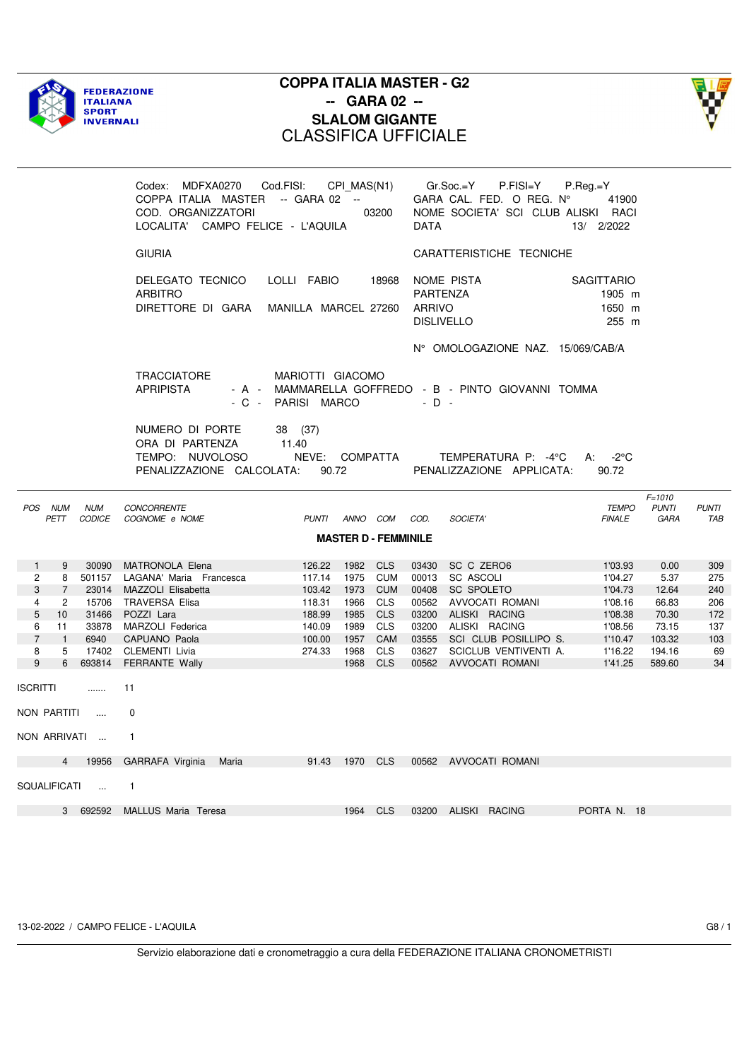



|                |                |                      | Codex: MDFXA0270<br>COPPA ITALIA MASTER -- GARA 02 --<br>COD. ORGANIZZATORI<br>LOCALITA' CAMPO FELICE - L'AQUILA | Cod.FISI:                              | CPI MAS(N1)      | 03200                       | <b>DATA</b>               | Gr.Soc.=Y<br>P.FISI=Y<br>GARA CAL. FED. O REG. Nº<br>NOME SOCIETA' SCI CLUB ALISKI RACI | $P-Reg = Y$<br>41900<br>13/ 2/2022             |                                    |                     |
|----------------|----------------|----------------------|------------------------------------------------------------------------------------------------------------------|----------------------------------------|------------------|-----------------------------|---------------------------|-----------------------------------------------------------------------------------------|------------------------------------------------|------------------------------------|---------------------|
|                |                |                      | <b>GIURIA</b>                                                                                                    |                                        |                  |                             |                           | CARATTERISTICHE TECNICHE                                                                |                                                |                                    |                     |
|                |                |                      | DELEGATO TECNICO<br>ARBITRO<br>DIRETTORE DI GARA                                                                 | LOLLI FABIO<br>MANILLA MARCEL 27260    |                  | 18968                       | PARTENZA<br><b>ARRIVO</b> | NOME PISTA<br><b>DISLIVELLO</b>                                                         | <b>SAGITTARIO</b><br>1905 m<br>1650 m<br>255 m |                                    |                     |
|                |                |                      |                                                                                                                  |                                        |                  |                             |                           | N° OMOLOGAZIONE NAZ. 15/069/CAB/A                                                       |                                                |                                    |                     |
|                |                |                      | <b>TRACCIATORE</b><br><b>APRIPISTA</b>                                                                           | MARIOTTI GIACOMO<br>- C - PARISI MARCO |                  |                             | $-$ D $-$                 | - A - MAMMARELLA GOFFREDO - B - PINTO GIOVANNI TOMMA                                    |                                                |                                    |                     |
|                |                |                      | NUMERO DI PORTE<br>ORA DI PARTENZA<br>TEMPO: NUVOLOSO<br>PENALIZZAZIONE CALCOLATA:                               | 38 (37)<br>11.40<br>NEVE:<br>90.72     |                  | COMPATTA                    |                           | TEMPERATURA P: -4°C<br>PENALIZZAZIONE APPLICATA:                                        | A: $-2^{\circ}$ C<br>90.72                     |                                    |                     |
| POS NUM        | PETT           | <b>NUM</b><br>CODICE | <b>CONCORRENTE</b><br>COGNOME e NOME                                                                             | <b>PUNTI</b>                           | ANNO COM         |                             | COD.                      | SOCIETA'                                                                                | <b>TEMPO</b><br><b>FINALE</b>                  | $F = 1010$<br><b>PUNTI</b><br>GARA | <b>PUNTI</b><br>TAB |
|                |                |                      |                                                                                                                  |                                        |                  | <b>MASTER D - FEMMINILE</b> |                           |                                                                                         |                                                |                                    |                     |
| $\mathbf{1}$   | 9              | 30090                | MATRONOLA Elena                                                                                                  | 126.22                                 | 1982 CLS         |                             | 03430                     | SC C ZERO6                                                                              | 1'03.93                                        | 0.00                               | 309                 |
| $\overline{2}$ | 8              |                      | 501157 LAGANA' Maria Francesca                                                                                   | 117.14                                 | 1975 CUM         |                             | 00013                     | <b>SC ASCOLI</b>                                                                        | 1'04.27                                        | 5.37                               | 275                 |
| 3              | $\overline{7}$ |                      | 23014 MAZZOLI Elisabetta                                                                                         | 103.42                                 |                  | 1973 CUM                    | 00408                     | <b>SC SPOLETO</b>                                                                       | 1'04.73                                        | 12.64                              | 240                 |
| $\overline{4}$ | $\overline{2}$ | 15706                | TRAVERSA Elisa                                                                                                   | 118.31                                 | 1966             | CLS                         |                           | 00562 AVVOCATI ROMANI                                                                   | 1'08.16                                        | 66.83                              | 206                 |
| 5              | 10             | 31466                | POZZI Lara                                                                                                       | 188.99                                 | 1985             | <b>CLS</b>                  |                           | 03200 ALISKI RACING                                                                     | 1'08.38                                        | 70.30                              | 172                 |
| 6              | 11             | 33878                | MARZOLI Federica                                                                                                 | 140.09                                 | 1989             | <b>CLS</b>                  |                           | 03200 ALISKI RACING                                                                     | 1'08.56                                        | 73.15                              | 137                 |
| $\overline{7}$ | $\overline{1}$ | 6940                 | CAPUANO Paola                                                                                                    | 100.00                                 | 1957             | CAM                         |                           | 03555 SCI CLUB POSILLIPO S.                                                             | 1'10.47                                        | 103.32                             | 103                 |
| 8<br>9         | 5<br>6         | 17402<br>693814      | CLEMENTI Livia                                                                                                   | 274.33                                 | 1968<br>1968 CLS | <b>CLS</b>                  | 03627                     | SCICLUB VENTIVENTI A.                                                                   | 1'16.22<br>1'41.25                             | 194.16<br>589.60                   | 69<br>34            |
|                |                |                      | FERRANTE Wally                                                                                                   |                                        |                  |                             |                           | 00562 AVVOCATI ROMANI                                                                   |                                                |                                    |                     |
| ISCRITTI       |                | 1.1.1.1.1            | 11                                                                                                               |                                        |                  |                             |                           |                                                                                         |                                                |                                    |                     |
| NON PARTITI    |                | $\sim$               | 0                                                                                                                |                                        |                  |                             |                           |                                                                                         |                                                |                                    |                     |
|                |                | NON ARRIVATI         | $\mathbf{1}$                                                                                                     |                                        |                  |                             |                           |                                                                                         |                                                |                                    |                     |
|                | $\overline{4}$ | 19956                | GARRAFA Virginia Maria                                                                                           |                                        | 91.43 1970 CLS   |                             |                           | 00562 AVVOCATI ROMANI                                                                   |                                                |                                    |                     |
| SQUALIFICATI   |                | $\cdots$             | $\mathbf{1}$                                                                                                     |                                        |                  |                             |                           |                                                                                         |                                                |                                    |                     |
|                | $\mathbf{3}$   | 692592               | MALLUS Maria Teresa                                                                                              |                                        | 1964             | <b>CLS</b>                  |                           | 03200 ALISKI RACING                                                                     | PORTA N. 18                                    |                                    |                     |

13-02-2022 / CAMPO FELICE - L'AQUILA G8 / 1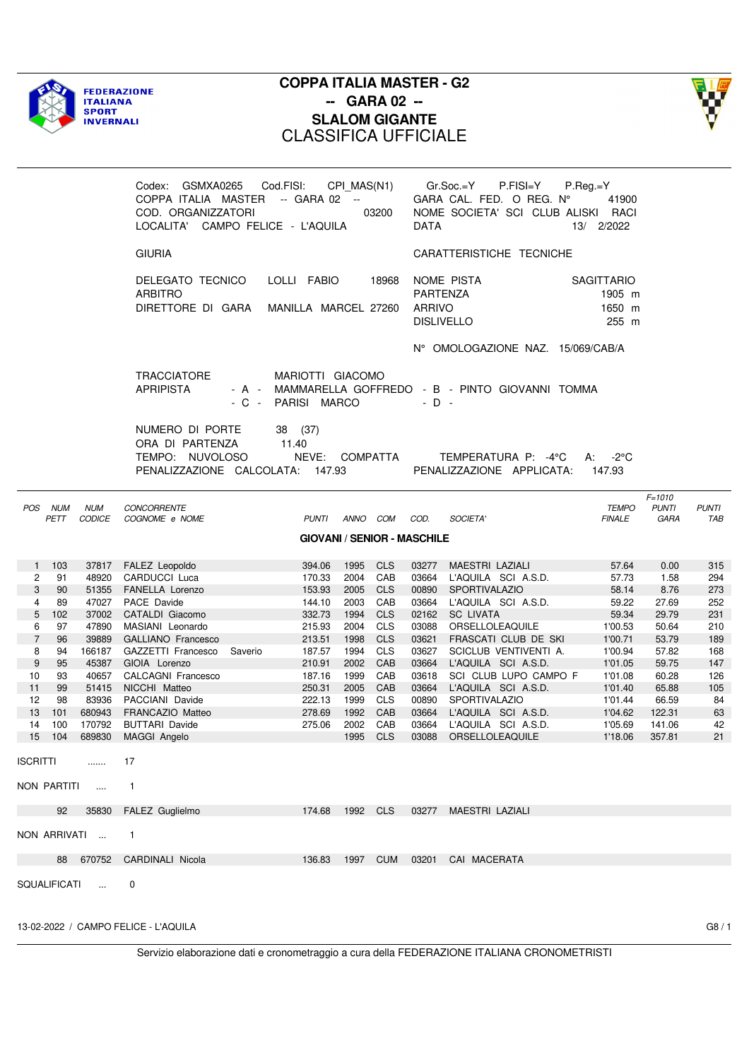



|                      |                 |                             | Codex: GSMXA0265 Cod.FISI: CPI_MAS(N1)<br>COPPA ITALIA MASTER -- GARA 02 --<br>COD. ORGANIZZATORI<br>LOCALITA' CAMPO FELICE - L'AQUILA |                                        | 03200                    | <b>DATA</b>        | $Gr.Soc = Y$ P.FISI=Y<br>GARA CAL. FED. O REG. Nº<br>NOME SOCIETA' SCI CLUB ALISKI RACI | $P-Reg.=Y$<br>41900<br>13/ 2/2022              |                                    |                     |
|----------------------|-----------------|-----------------------------|----------------------------------------------------------------------------------------------------------------------------------------|----------------------------------------|--------------------------|--------------------|-----------------------------------------------------------------------------------------|------------------------------------------------|------------------------------------|---------------------|
|                      |                 |                             | <b>GIURIA</b>                                                                                                                          |                                        |                          |                    | CARATTERISTICHE TECNICHE                                                                |                                                |                                    |                     |
|                      |                 |                             | DELEGATO TECNICO<br><b>ARBITRO</b><br>DIRETTORE DI GARA MANILLA MARCEL 27260                                                           | LOLLI FABIO                            | 18968                    | PARTENZA<br>ARRIVO | NOME PISTA<br><b>DISLIVELLO</b>                                                         | <b>SAGITTARIO</b><br>1905 m<br>1650 m<br>255 m |                                    |                     |
|                      |                 |                             |                                                                                                                                        |                                        |                          |                    | N° OMOLOGAZIONE NAZ. 15/069/CAB/A                                                       |                                                |                                    |                     |
|                      |                 |                             | <b>TRACCIATORE</b><br><b>APRIPISTA</b>                                                                                                 | MARIOTTI GIACOMO<br>- C - PARISI MARCO |                          | $-D -$             | - A - MAMMARELLA GOFFREDO - B - PINTO GIOVANNI TOMMA                                    |                                                |                                    |                     |
|                      |                 |                             | NUMERO DI PORTE<br>ORA DI PARTENZA<br>TEMPO: NUVOLOSO<br>PENALIZZAZIONE CALCOLATA: 147.93                                              | 38 (37)<br>11.40<br>NEVE: COMPATTA     |                          |                    | TEMPERATURA P: -4°C<br>PENALIZZAZIONE APPLICATA:                                        | A: $-2^{\circ}$ C<br>147.93                    |                                    |                     |
|                      | POS NUM<br>PETT | <b>NUM</b><br><b>CODICE</b> | <b>CONCORRENTE</b><br>COGNOME e NOME                                                                                                   | PUNTI ANNO COM                         |                          | COD.               | SOCIETA'                                                                                | <b>TEMPO</b><br><b>FINALE</b>                  | $F = 1010$<br><b>PUNTI</b><br>GARA | <b>PUNTI</b><br>TAB |
|                      |                 |                             |                                                                                                                                        | <b>GIOVANI / SENIOR - MASCHILE</b>     |                          |                    |                                                                                         |                                                |                                    |                     |
|                      | 1 103           |                             | 37817 FALEZ Leopoldo                                                                                                                   | 1995<br>394.06                         | <b>CLS</b>               |                    | 03277 MAESTRI LAZIALI                                                                   | 57.64                                          | 0.00                               | 315                 |
| $\mathbf{2}^{\circ}$ | 91              | 48920                       | CARDUCCI Luca                                                                                                                          | 170.33                                 | CAB<br>2004              |                    | 03664 L'AQUILA SCI A.S.D.                                                               | 57.73                                          | 1.58                               | 294                 |
| 3                    | 90              | 51355                       | <b>FANELLA Lorenzo</b>                                                                                                                 | 153.93<br>2005                         | <b>CLS</b>               | 00890              | SPORTIVALAZIO                                                                           | 58.14                                          | 8.76                               | 273                 |
| 4                    | 89              | 47027                       | PACE Davide                                                                                                                            | 144.10<br>2003                         | CAB                      |                    | 03664 L'AQUILA SCI A.S.D.                                                               | 59.22                                          | 27.69                              | 252                 |
| 5<br>6               | 102<br>97       | 37002<br>47890              | CATALDI Giacomo<br>MASIANI Leonardo                                                                                                    | 332.73<br>1994<br>215.93<br>2004       | <b>CLS</b><br><b>CLS</b> | 03088              | 02162 SC LIVATA<br>ORSELLOLEAQUILE                                                      | 59.34<br>1'00.53                               | 29.79<br>50.64                     | 231<br>210          |
| $\overline{7}$       | 96              | 39889                       | <b>GALLIANO Francesco</b>                                                                                                              | 213.51<br>1998                         | <b>CLS</b>               |                    | 03621 FRASCATI CLUB DE SKI                                                              | 1'00.71                                        | 53.79                              | 189                 |
| 8                    | 94              | 166187                      | GAZZETTI Francesco<br>Saverio                                                                                                          | 187.57<br>1994                         | <b>CLS</b>               |                    | 03627 SCICLUB VENTIVENTI A.                                                             | 1'00.94                                        | 57.82                              | 168                 |
| 9                    | 95              | 45387                       | GIOIA Lorenzo                                                                                                                          | 210.91                                 | CAB<br>2002              |                    | 03664 L'AQUILA SCI A.S.D.                                                               | 1'01.05                                        | 59.75                              | 147                 |
| 10                   | 93              | 40657                       | CALCAGNI Francesco                                                                                                                     | 187.16<br>1999                         | CAB                      |                    | 03618 SCI CLUB LUPO CAMPO F                                                             | 1'01.08                                        | 60.28                              | 126                 |
| 11                   | 99              | 51415                       | NICCHI Matteo                                                                                                                          | 250.31<br>2005                         | CAB                      |                    | 03664 L'AQUILA SCI A.S.D.                                                               | 1'01.40                                        | 65.88                              | 105                 |
| 12                   | 98              |                             | 83936 PACCIANI Davide                                                                                                                  | 222.13<br>1999                         | <b>CLS</b>               |                    | 00890 SPORTIVALAZIO                                                                     | 1'01.44                                        | 66.59                              | 84                  |
| 13 <sup>13</sup>     | 101             | 680943                      | FRANCAZIO Matteo                                                                                                                       | 278.69                                 | 1992<br>CAB              |                    | 03664 L'AQUILA SCI A.S.D.                                                               | 1'04.62                                        | 122.31                             | 63                  |
| 14                   | 100             | 170792                      | <b>BUTTARI Davide</b>                                                                                                                  | 275.06                                 | 2002 CAB                 |                    | 03664 L'AQUILA SCI A.S.D.                                                               | 1'05.69                                        | 141.06                             | 42                  |
|                      |                 |                             | 15 104 689830 MAGGI Angelo                                                                                                             |                                        | 1995 CLS                 |                    | 03088 ORSELLOLEAQUILE                                                                   | 1'18.06                                        | 357.81                             | 21                  |
| <b>ISCRITTI</b>      |                 | 1.1.1.1.1                   | 17                                                                                                                                     |                                        |                          |                    |                                                                                         |                                                |                                    |                     |
|                      | NON PARTITI     | $\sim 100$                  | $\mathbf{1}$                                                                                                                           |                                        |                          |                    |                                                                                         |                                                |                                    |                     |
|                      | 92              |                             | 35830 FALEZ Guglielmo                                                                                                                  | 174.68                                 | 1992 CLS                 |                    | 03277 MAESTRI LAZIALI                                                                   |                                                |                                    |                     |
|                      |                 | NON ARRIVATI                | $\mathbf{1}$                                                                                                                           |                                        |                          |                    |                                                                                         |                                                |                                    |                     |
|                      |                 |                             | 88 670752 CARDINALI Nicola                                                                                                             | 136.83                                 | 1997                     |                    | CUM 03201 CAI MACERATA                                                                  |                                                |                                    |                     |
|                      |                 | SQUALIFICATI                | 0                                                                                                                                      |                                        |                          |                    |                                                                                         |                                                |                                    |                     |

13-02-2022 / CAMPO FELICE - L'AQUILA G8 / 1